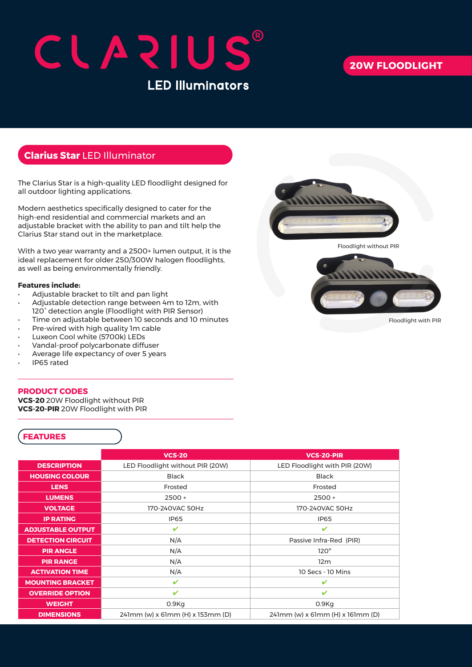# CLAZIUS **LED Illuminators**

## **20W FLOODLIGHT**

### **Clarius Star** LED Illuminator

The Clarius Star is a high-quality LED floodlight designed for all outdoor lighting applications.

Modern aesthetics specifically designed to cater for the high-end residential and commercial markets and an adjustable bracket with the ability to pan and tilt help the Clarius Star stand out in the marketplace.

With a two year warranty and a 2500+ lumen output, it is the ideal replacement for older 250/300W halogen floodlights, as well as being environmentally friendly.

#### **Features include:**

- Adjustable bracket to tilt and pan light
- Adjustable detection range between 4m to 12m, with 120° detection angle (Floodlight with PIR Sensor)
- Time on adjustable between 10 seconds and 10 minutes
- Pre-wired with high quality 1m cable
- Luxeon Cool white (5700k) LEDs
- Vandal-proof polycarbonate diffuser
- Average life expectancy of over 5 years
- IP65 rated

#### **PRODUCT CODES**

**VCS-20** 20W Floodlight without PIR **VCS-20-PIR** 20W Floodlight with PIR

#### **FEATURES**

|                          | <b>VCS-20</b>                    | <b>VCS-20-PIR</b>                |
|--------------------------|----------------------------------|----------------------------------|
| <b>DESCRIPTION</b>       | LED Floodlight without PIR (20W) | LED Floodlight with PIR (20W)    |
| <b>HOUSING COLOUR</b>    | <b>Black</b>                     | <b>Black</b>                     |
| <b>LENS</b>              | Frosted                          | Frosted                          |
| <b>LUMENS</b>            | $2500 +$                         | $2500 +$                         |
| <b>VOLTAGE</b>           | 170-240VAC 50Hz                  | 170-240VAC 50Hz                  |
| <b>IP RATING</b>         | <b>IP65</b>                      | <b>IP65</b>                      |
| <b>ADJUSTABLE OUTPUT</b> | $\mathbf{v}$                     | V                                |
| <b>DETECTION CIRCUIT</b> | N/A                              | Passive Infra-Red (PIR)          |
| <b>PIR ANGLE</b>         | N/A                              | $120^\circ$                      |
| <b>PIR RANGE</b>         | N/A                              | 12 <sub>m</sub>                  |
| <b>ACTIVATION TIME</b>   | N/A                              | 10 Secs - 10 Mins                |
| <b>MOUNTING BRACKET</b>  | $\mathbf{v}$                     | ✓                                |
| <b>OVERRIDE OPTION</b>   | ✓                                | ✓                                |
| <b>WEIGHT</b>            | $0.9$ Kg                         | $0.9$ Kg                         |
| <b>DIMENSIONS</b>        | 241mm (w) x 61mm (H) x 153mm (D) | 241mm (w) x 61mm (H) x 161mm (D) |



Floodlight without PIR



Floodlight with PIR